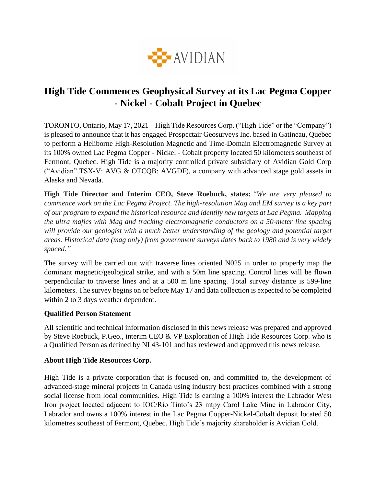

# **High Tide Commences Geophysical Survey at its Lac Pegma Copper - Nickel - Cobalt Project in Quebec**

TORONTO, Ontario, May 17, 2021 – High Tide Resources Corp. ("High Tide" or the "Company") is pleased to announce that it has engaged Prospectair Geosurveys Inc. based in Gatineau, Quebec to perform a Heliborne High-Resolution Magnetic and Time-Domain Electromagnetic Survey at its 100% owned Lac Pegma Copper - Nickel - Cobalt property located 50 kilometers southeast of Fermont, Quebec. High Tide is a majority controlled private subsidiary of Avidian Gold Corp ("Avidian" TSX-V: AVG & OTCQB: AVGDF), a company with advanced stage gold assets in Alaska and Nevada.

**High Tide Director and Interim CEO, Steve Roebuck, states:** *"We are very pleased to commence work on the Lac Pegma Project. The high-resolution Mag and EM survey is a key part of our program to expand the historical resource and identify new targets at Lac Pegma. Mapping the ultra mafics with Mag and tracking electromagnetic conductors on a 50-meter line spacing will provide our geologist with a much better understanding of the geology and potential target areas. Historical data (mag only) from government surveys dates back to 1980 and is very widely spaced."*

The survey will be carried out with traverse lines oriented N025 in order to properly map the dominant magnetic/geological strike, and with a 50m line spacing. Control lines will be flown perpendicular to traverse lines and at a 500 m line spacing. Total survey distance is 599-line kilometers. The survey begins on or before May 17 and data collection is expected to be completed within 2 to 3 days weather dependent.

## **Qualified Person Statement**

All scientific and technical information disclosed in this news release was prepared and approved by Steve Roebuck, P.Geo., interim CEO & VP Exploration of High Tide Resources Corp. who is a Qualified Person as defined by NI 43-101 and has reviewed and approved this news release.

## **About High Tide Resources Corp.**

High Tide is a private corporation that is focused on, and committed to, the development of advanced-stage mineral projects in Canada using industry best practices combined with a strong social license from local communities. High Tide is earning a 100% interest the Labrador West Iron project located adjacent to IOC/Rio Tinto's 23 mtpy Carol Lake Mine in Labrador City, Labrador and owns a 100% interest in the Lac Pegma Copper-Nickel-Cobalt deposit located 50 kilometres southeast of Fermont, Quebec. High Tide's majority shareholder is Avidian Gold.